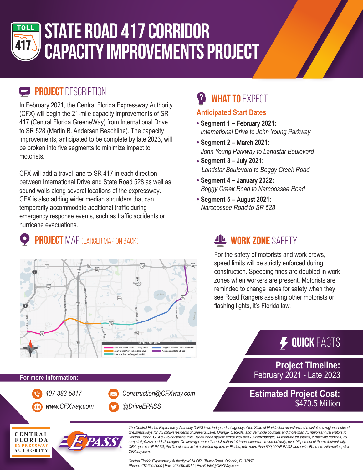

# **STATE ROAD 417 CORRIDOR CAPACITY IMPROVEMENTS PROJECT**

### **PROJECT DESCRIPTION**

**Experiment Incommental Express WHAT TO EXPECT**<br>In February 2021, the Central Florida Expressway Authority (CFX) will begin the 21-mile capacity improvements of SR 417 (Central Florida GreeneWay) from International Drive to SR 528 (Martin B. Andersen Beachline). The capacity improvements, anticipated to be complete by late 2023, will be broken into five segments to minimize impact to motorists.

CFX will add a travel lane to SR 417 in each direction between International Drive and State Road 528 as well as sound walls along several locations of the expressway. CFX is also adding wider median shoulders that can temporarily accommodate additional traffic during emergency response events, such as traffic accidents or hurricane evacuations.

## **PROJECT** MAP (LARGER MAP ON BACK)



### **For more information:**

**CENTRAL FLORIDA EXPRESSW AUTHORITY** 





### **Anticipated Start Dates**

- **• Segment 1** February **2021:** *International Drive to John Young Parkway*
- **• Segment 2** March **2021:** *John Young Parkway to Landstar Boulevard*
- **• Segment 3** July **2021:** *Landstar Boulevard to Boggy Creek Road*
- **• Segment 4** January **202**2**:** *Boggy Creek Road to Narcoossee Road*
- **• Segment 5** August **2021:**  *Narcoossee Road to SR 528*

### **WORK ZONE SAFETY**

For the safety of motorists and work crews, speed limits will be strictly enforced during construction. Speeding fines are doubled in work zones when workers are present. Motorists are reminded to change lanes for safety when they see Road Rangers assisting other motorists or flashing lights, it's Florida law.



**Project Timeline:** February 2021 - Late 2023

**Estimated Project Cost:** \$470.5 Million

*The Central Florida Expressway Authority (CFX) is an independent agency of the State of Florida that operates and maintains a regional network of expressways for 3.3 million residents of Brevard, Lake, Orange, Osceola, and Seminole counties and more than 75 million annual visitors to Central Florida. CFX's 125-centerline mile, user-funded system which includes 73 interchanges, 14 mainline toll plazas, 5 mainline gantries, 76*  ramp toll plazas and 343 bridges. On average, more than 1.3 million toll transactions are recorded daily, over 95 percent of them electronically. CFX operates E-PASS, the first electronic toll collection system in Florida, with more than 800,000 E-PASS accounts. For more information, visit *CFXway.com.* 

*Central Florida ExpresswayAuthority: 4974 ORLTower Road, Orlando, FL 32807 Phone: 407.690.5000 | Fax: 407.690.5011 | Email: Info@CFXWay.com*